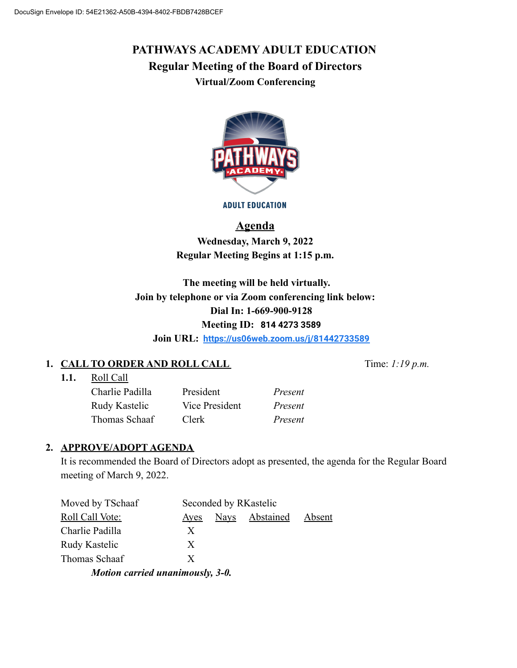# **PATHWAYS ACADEMY ADULT EDUCATION Regular Meeting of the Board of Directors Virtual/Zoom Conferencing**



**ADULT EDUCATION** 

## **Agenda**

**Wednesday, March 9, 2022 Regular Meeting Begins at 1:15 p.m.**

**The meeting will be held virtually. Join by telephone or via Zoom conferencing link below: Dial In: 1-669-900-9128 Meeting ID: 814 4273 3589**

**Join URL: <https://us06web.zoom.us/j/81442733589>**

## **1. CALL TO ORDER AND ROLL CALL** Time:  $1:19 \text{ p.m.}$

**1.1.** Roll Call

Charlie Padilla President *Present* Rudy Kastelic Vice President *Present* Thomas Schaaf Clerk *Present*

## **2. APPROVE/ADOPT AGENDA**

It is recommended the Board of Directors adopt as presented, the agenda for the Regular Board meeting of March 9, 2022.

| Moved by TSchaaf | Seconded by RKastelic |      |           |        |
|------------------|-----------------------|------|-----------|--------|
| Roll Call Vote:  | Ayes                  | Nays | Abstained | Absent |
| Charlie Padilla  | X                     |      |           |        |
| Rudy Kastelic    | X                     |      |           |        |
| Thomas Schaaf    | X                     |      |           |        |
|                  |                       |      |           |        |

*Motion carried unanimously, 3-0.*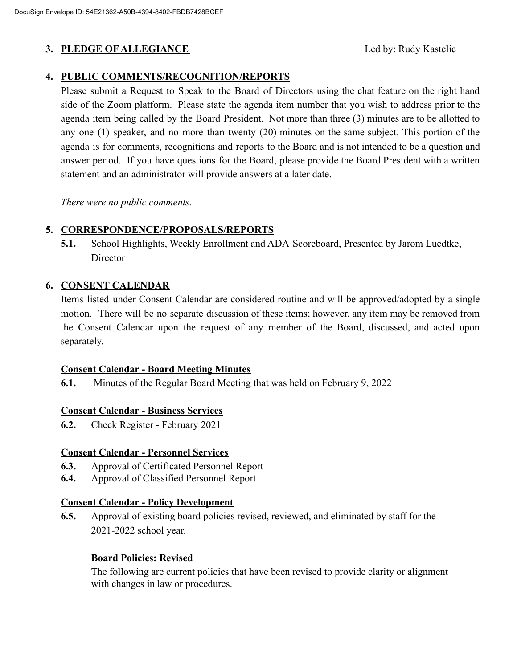## **3. PLEDGE OF ALLEGIANCE** SECTED FOR Led by: Rudy Kastelic

#### **4. PUBLIC COMMENTS/RECOGNITION/REPORTS**

Please submit a Request to Speak to the Board of Directors using the chat feature on the right hand side of the Zoom platform. Please state the agenda item number that you wish to address prior to the agenda item being called by the Board President. Not more than three (3) minutes are to be allotted to any one (1) speaker, and no more than twenty (20) minutes on the same subject. This portion of the agenda is for comments, recognitions and reports to the Board and is not intended to be a question and answer period. If you have questions for the Board, please provide the Board President with a written statement and an administrator will provide answers at a later date.

*There were no public comments.*

#### **5. CORRESPONDENCE/PROPOSALS/REPORTS**

**5.1.** School Highlights, Weekly Enrollment and ADA Scoreboard, Presented by Jarom Luedtke, Director

#### **6. CONSENT CALENDAR**

Items listed under Consent Calendar are considered routine and will be approved/adopted by a single motion. There will be no separate discussion of these items; however, any item may be removed from the Consent Calendar upon the request of any member of the Board, discussed, and acted upon separately.

#### **Consent Calendar - Board Meeting Minutes**

**6.1.** Minutes of the Regular Board Meeting that was held on February 9, 2022

#### **Consent Calendar - Business Services**

**6.2.** Check Register - February 2021

#### **Consent Calendar - Personnel Services**

- **6.3.** Approval of Certificated Personnel Report
- **6.4.** Approval of Classified Personnel Report

#### **Consent Calendar - Policy Development**

**6.5.** Approval of existing board policies revised, reviewed, and eliminated by staff for the 2021-2022 school year.

#### **Board Policies: Revised**

The following are current policies that have been revised to provide clarity or alignment with changes in law or procedures.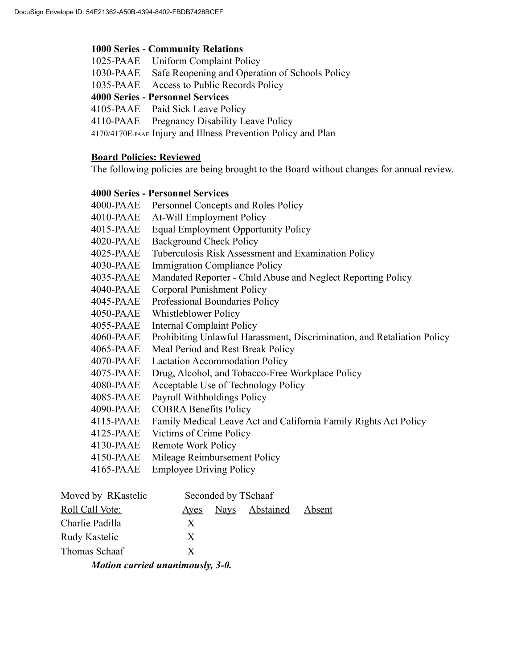#### **1000 Series - Community Relations**

- 1025-PAAE Uniform Complaint Policy
- 1030-PAAE Safe Reopening and Operation of Schools Policy
- 1035-PAAE Access to Public Records Policy

#### **4000 Series - Personnel Services**

4105-PAAE Paid Sick Leave Policy

4110-PAAE Pregnancy Disability Leave Policy

4170/4170E-PAAE Injury and Illness Prevention Policy and Plan

#### **Board Policies: Reviewed**

The following policies are being brought to the Board without changes for annual review.

#### **4000 Series - Personnel Services**

| 4000-PAAE | Personnel Concepts and Roles Policy                                     |
|-----------|-------------------------------------------------------------------------|
| 4010-PAAE | At-Will Employment Policy                                               |
| 4015-PAAE | <b>Equal Employment Opportunity Policy</b>                              |
| 4020-PAAE | <b>Background Check Policy</b>                                          |
| 4025-PAAE | Tuberculosis Risk Assessment and Examination Policy                     |
| 4030-PAAE | <b>Immigration Compliance Policy</b>                                    |
| 4035-PAAE | Mandated Reporter - Child Abuse and Neglect Reporting Policy            |
| 4040-PAAE | Corporal Punishment Policy                                              |
| 4045-PAAE | Professional Boundaries Policy                                          |
| 4050-PAAE | Whistleblower Policy                                                    |
| 4055-PAAE | <b>Internal Complaint Policy</b>                                        |
| 4060-PAAE | Prohibiting Unlawful Harassment, Discrimination, and Retaliation Policy |
| 4065-PAAE | Meal Period and Rest Break Policy                                       |
| 4070-PAAE | <b>Lactation Accommodation Policy</b>                                   |
| 4075-PAAE | Drug, Alcohol, and Tobacco-Free Workplace Policy                        |
| 4080-PAAE | Acceptable Use of Technology Policy                                     |
| 4085-PAAE | Payroll Withholdings Policy                                             |
| 4090-PAAE | <b>COBRA Benefits Policy</b>                                            |
| 4115-PAAE | Family Medical Leave Act and California Family Rights Act Policy        |
| 4125-PAAE | Victims of Crime Policy                                                 |
| 4130-PAAE | <b>Remote Work Policy</b>                                               |
| 4150-PAAE | Mileage Reimbursement Policy                                            |
| 4165-PAAE | <b>Employee Driving Policy</b>                                          |
|           |                                                                         |

| Moved by RKastelic               | Seconded by TSchaaf |      |                  |        |  |  |  |  |
|----------------------------------|---------------------|------|------------------|--------|--|--|--|--|
| Roll Call Vote:                  | Ayes                | Nays | <b>Abstained</b> | Absent |  |  |  |  |
| Charlie Padilla                  | X                   |      |                  |        |  |  |  |  |
| Rudy Kastelic                    | X                   |      |                  |        |  |  |  |  |
| Thomas Schaaf                    | X                   |      |                  |        |  |  |  |  |
| Motion carried unanimously, 3-0. |                     |      |                  |        |  |  |  |  |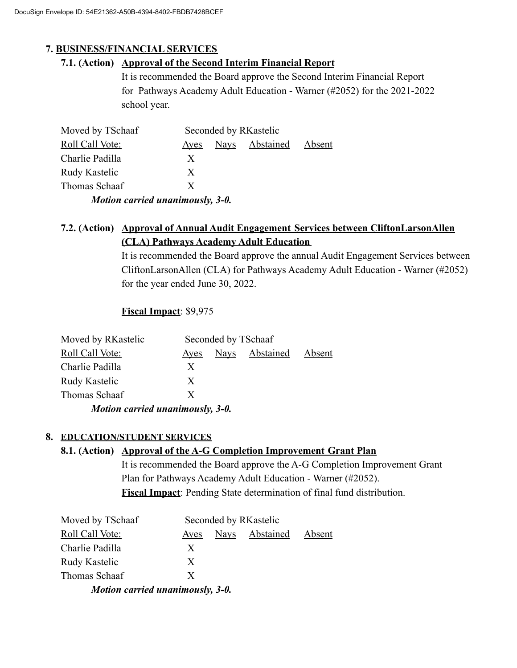## **7. BUSINESS/FINANCIAL SERVICES**

### **7.1. (Action) Approval of the Second Interim Financial Report**

It is recommended the Board approve the Second Interim Financial Report for Pathways Academy Adult Education - Warner (#2052) for the 2021-2022 school year.

| Moved by TSchaaf                 | Seconded by RKastelic |             |                  |        |  |  |  |  |
|----------------------------------|-----------------------|-------------|------------------|--------|--|--|--|--|
| Roll Call Vote:                  | <u>Ayes</u>           | <b>Nays</b> | <b>Abstained</b> | Absent |  |  |  |  |
| Charlie Padilla                  | X                     |             |                  |        |  |  |  |  |
| Rudy Kastelic                    | X                     |             |                  |        |  |  |  |  |
| Thomas Schaaf                    | X                     |             |                  |        |  |  |  |  |
| Motion carried unanimously, 3-0. |                       |             |                  |        |  |  |  |  |

## **7.2. (Action) Approval of Annual Audit Engagement Services between CliftonLarsonAllen (CLA) Pathways Academy Adult Education**

It is recommended the Board approve the annual Audit Engagement Services between CliftonLarsonAllen (CLA) for Pathways Academy Adult Education - Warner (#2052) for the year ended June 30, 2022.

### **Fiscal Impact**: \$9,975

| Moved by RKastelic               | Seconded by TSchaaf |  |                |        |  |  |  |
|----------------------------------|---------------------|--|----------------|--------|--|--|--|
| <b>Roll Call Vote:</b>           | <u>Aves</u>         |  | Navs Abstained | Absent |  |  |  |
| Charlie Padilla                  | X                   |  |                |        |  |  |  |
| Rudy Kastelic                    | X                   |  |                |        |  |  |  |
| Thomas Schaaf                    | X                   |  |                |        |  |  |  |
| Motion carried unanimously, 3-0. |                     |  |                |        |  |  |  |

#### **8. EDUCATION/STUDENT SERVICES**

#### **8.1. (Action) Approval of the A-G Completion Improvement Grant Plan**

It is recommended the Board approve the A-G Completion Improvement Grant Plan for Pathways Academy Adult Education - Warner (#2052). **Fiscal Impact**: Pending State determination of final fund distribution.

| Moved by TSchaaf                 | Seconded by RKastelic |             |                  |        |  |  |  |
|----------------------------------|-----------------------|-------------|------------------|--------|--|--|--|
| Roll Call Vote:                  | <b>Ayes</b>           | <b>Nays</b> | <b>Abstained</b> | Absent |  |  |  |
| Charlie Padilla                  | X                     |             |                  |        |  |  |  |
| Rudy Kastelic                    | X                     |             |                  |        |  |  |  |
| Thomas Schaaf                    | X                     |             |                  |        |  |  |  |
| Motion carried unanimously, 3-0. |                       |             |                  |        |  |  |  |